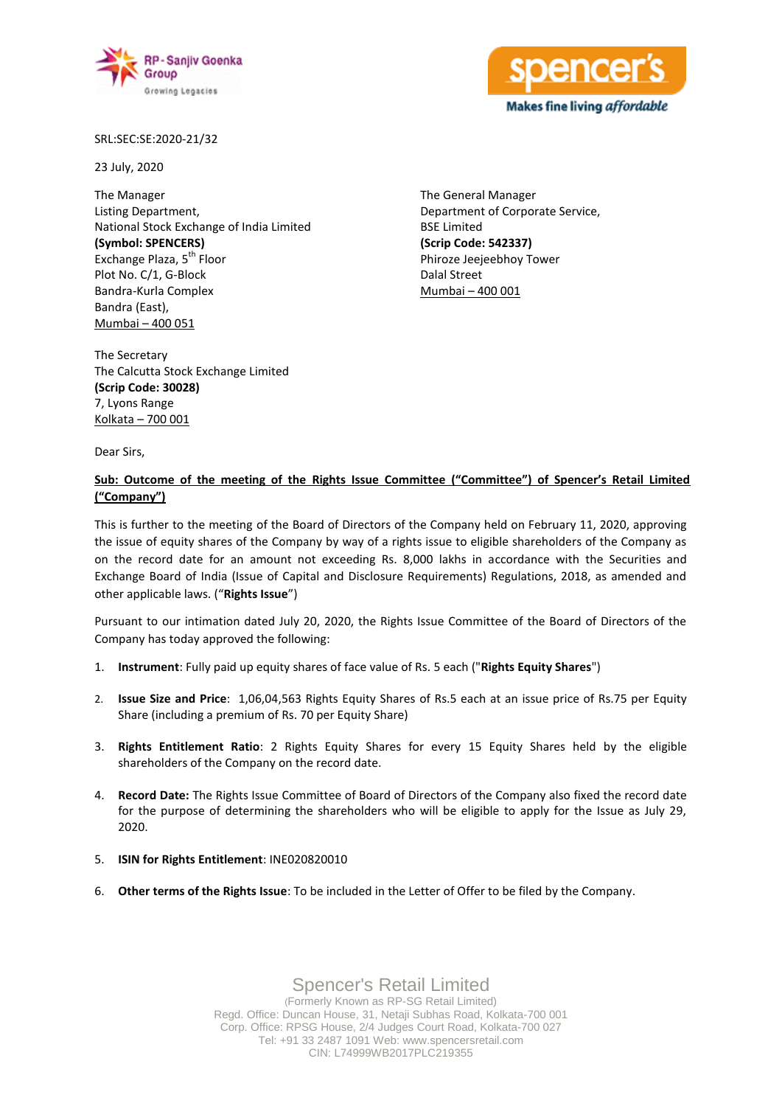



SRL:SEC:SE:2020-21/32

23 July, 2020

The Manager Listing Department, National Stock Exchange of India Limited **(Symbol: SPENCERS)** Exchange Plaza, 5<sup>th</sup> Floor Plot No. C/1, G-Block Bandra-Kurla Complex Bandra (East), Mumbai – 400 051

The General Manager Department of Corporate Service, BSE Limited **(Scrip Code: 542337)** Phiroze Jeejeebhoy Tower Dalal Street Mumbai – 400 001

The Secretary The Calcutta Stock Exchange Limited **(Scrip Code: 30028)** 7, Lyons Range Kolkata – 700 001

Dear Sirs,

## **Sub: Outcome of the meeting of the Rights Issue Committee ("Committee") of Spencer's Retail Limited ("Company")**

This is further to the meeting of the Board of Directors of the Company held on February 11, 2020, approving the issue of equity shares of the Company by way of a rights issue to eligible shareholders of the Company as on the record date for an amount not exceeding Rs. 8,000 lakhs in accordance with the Securities and Exchange Board of India (Issue of Capital and Disclosure Requirements) Regulations, 2018, as amended and other applicable laws. ("**Rights Issue**")

Pursuant to our intimation dated July 20, 2020, the Rights Issue Committee of the Board of Directors of the Company has today approved the following:

- 1. **Instrument**: Fully paid up equity shares of face value of Rs. 5 each ("**Rights Equity Shares**")
- 2. **Issue Size and Price**: 1,06,04,563 Rights Equity Shares of Rs.5 each at an issue price of Rs.75 per Equity Share (including a premium of Rs. 70 per Equity Share)
- 3. **Rights Entitlement Ratio**: 2 Rights Equity Shares for every 15 Equity Shares held by the eligible shareholders of the Company on the record date.
- 4. **Record Date:** The Rights Issue Committee of Board of Directors of the Company also fixed the record date for the purpose of determining the shareholders who will be eligible to apply for the Issue as July 29, 2020.
- 5. **ISIN for Rights Entitlement**: INE020820010
- 6. **Other terms of the Rights Issue**: To be included in the Letter of Offer to be filed by the Company.

Spencer's Retail Limited (Formerly Known as RP-SG Retail Limited) Regd. Office: Duncan House, 31, Netaji Subhas Road, Kolkata-700 001 Corp. Office: RPSG House, 2/4 Judges Court Road, Kolkata-700 027 Tel: +91 33 2487 1091 Web: www.spencersretail.com CIN: L74999WB2017PLC219355